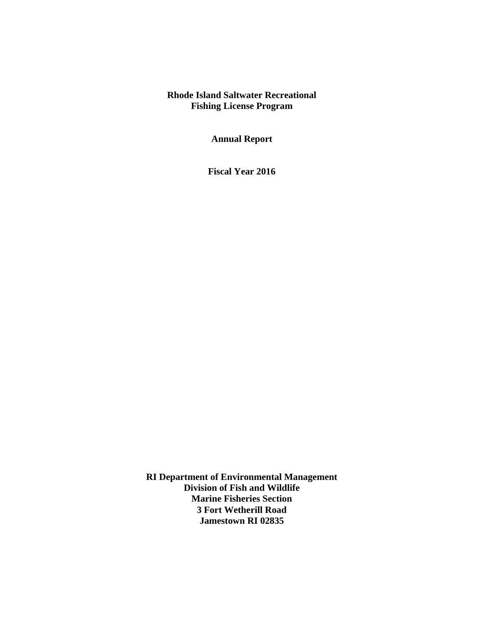# **Rhode Island Saltwater Recreational Fishing License Program**

**Annual Report**

**Fiscal Year 2016**

**RI Department of Environmental Management Division of Fish and Wildlife Marine Fisheries Section 3 Fort Wetherill Road Jamestown RI 02835**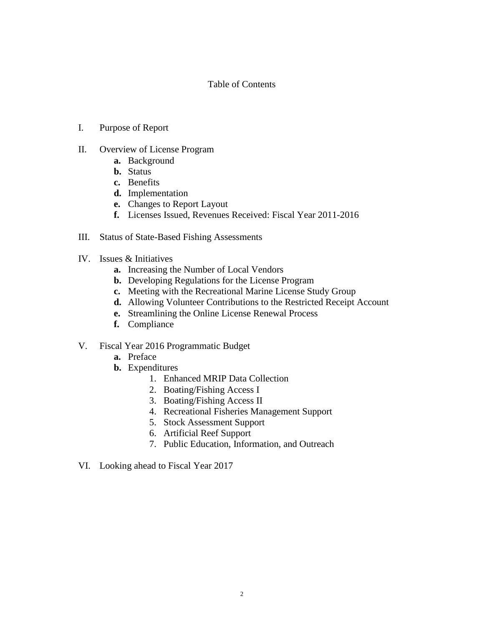# Table of Contents

- I. Purpose of Report
- II. Overview of License Program
	- **a.** Background
	- **b.** Status
	- **c.** Benefits
	- **d.** Implementation
	- **e.** Changes to Report Layout
	- **f.** Licenses Issued, Revenues Received: Fiscal Year 2011-2016
- III. Status of State-Based Fishing Assessments
- IV. Issues & Initiatives
	- **a.** Increasing the Number of Local Vendors
	- **b.** Developing Regulations for the License Program
	- **c.** Meeting with the Recreational Marine License Study Group
	- **d.** Allowing Volunteer Contributions to the Restricted Receipt Account
	- **e.** Streamlining the Online License Renewal Process
	- **f.** Compliance
- V. Fiscal Year 2016 Programmatic Budget
	- **a.** Preface
	- **b.** Expenditures
		- 1. Enhanced MRIP Data Collection
		- 2. Boating/Fishing Access I
		- 3. Boating/Fishing Access II
		- 4. Recreational Fisheries Management Support
		- 5. Stock Assessment Support
		- 6. Artificial Reef Support
		- 7. Public Education, Information, and Outreach
- VI. Looking ahead to Fiscal Year 2017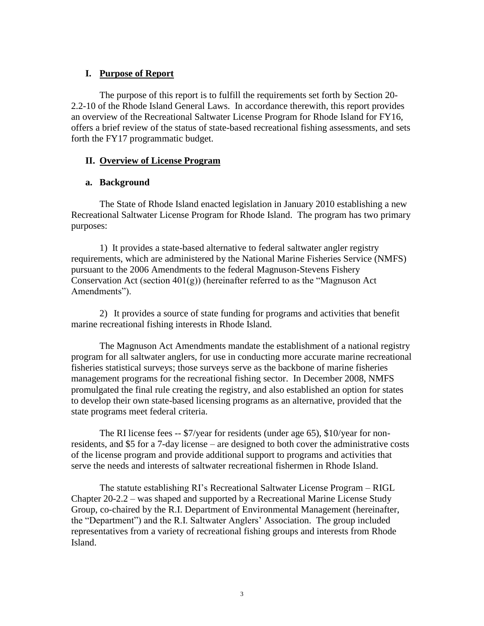# **I. Purpose of Report**

The purpose of this report is to fulfill the requirements set forth by Section 20- 2.2-10 of the Rhode Island General Laws. In accordance therewith, this report provides an overview of the Recreational Saltwater License Program for Rhode Island for FY16, offers a brief review of the status of state-based recreational fishing assessments, and sets forth the FY17 programmatic budget.

# **II. Overview of License Program**

# **a. Background**

The State of Rhode Island enacted legislation in January 2010 establishing a new Recreational Saltwater License Program for Rhode Island. The program has two primary purposes:

1) It provides a state-based alternative to federal saltwater angler registry requirements, which are administered by the National Marine Fisheries Service (NMFS) pursuant to the 2006 Amendments to the federal Magnuson-Stevens Fishery Conservation Act (section  $401(g)$ ) (hereinafter referred to as the "Magnuson Act Amendments").

2) It provides a source of state funding for programs and activities that benefit marine recreational fishing interests in Rhode Island.

The Magnuson Act Amendments mandate the establishment of a national registry program for all saltwater anglers, for use in conducting more accurate marine recreational fisheries statistical surveys; those surveys serve as the backbone of marine fisheries management programs for the recreational fishing sector. In December 2008, NMFS promulgated the final rule creating the registry, and also established an option for states to develop their own state-based licensing programs as an alternative, provided that the state programs meet federal criteria.

The RI license fees -- \$7/year for residents (under age 65), \$10/year for nonresidents, and \$5 for a 7-day license – are designed to both cover the administrative costs of the license program and provide additional support to programs and activities that serve the needs and interests of saltwater recreational fishermen in Rhode Island.

The statute establishing RI's Recreational Saltwater License Program – RIGL Chapter 20-2.2 – was shaped and supported by a Recreational Marine License Study Group, co-chaired by the R.I. Department of Environmental Management (hereinafter, the "Department") and the R.I. Saltwater Anglers' Association. The group included representatives from a variety of recreational fishing groups and interests from Rhode Island.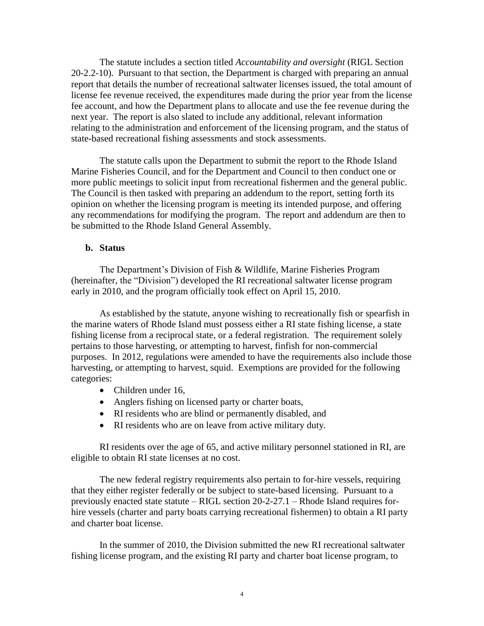The statute includes a section titled *Accountability and oversight* (RIGL Section 20-2.2-10). Pursuant to that section, the Department is charged with preparing an annual report that details the number of recreational saltwater licenses issued, the total amount of license fee revenue received, the expenditures made during the prior year from the license fee account, and how the Department plans to allocate and use the fee revenue during the next year. The report is also slated to include any additional, relevant information relating to the administration and enforcement of the licensing program, and the status of state-based recreational fishing assessments and stock assessments.

The statute calls upon the Department to submit the report to the Rhode Island Marine Fisheries Council, and for the Department and Council to then conduct one or more public meetings to solicit input from recreational fishermen and the general public. The Council is then tasked with preparing an addendum to the report, setting forth its opinion on whether the licensing program is meeting its intended purpose, and offering any recommendations for modifying the program. The report and addendum are then to be submitted to the Rhode Island General Assembly.

### **b. Status**

The Department's Division of Fish & Wildlife, Marine Fisheries Program (hereinafter, the "Division") developed the RI recreational saltwater license program early in 2010, and the program officially took effect on April 15, 2010.

As established by the statute, anyone wishing to recreationally fish or spearfish in the marine waters of Rhode Island must possess either a RI state fishing license, a state fishing license from a reciprocal state, or a federal registration. The requirement solely pertains to those harvesting, or attempting to harvest, finfish for non-commercial purposes. In 2012, regulations were amended to have the requirements also include those harvesting, or attempting to harvest, squid. Exemptions are provided for the following categories:

- Children under 16,
- Anglers fishing on licensed party or charter boats,
- RI residents who are blind or permanently disabled, and
- RI residents who are on leave from active military duty.

RI residents over the age of 65, and active military personnel stationed in RI, are eligible to obtain RI state licenses at no cost.

The new federal registry requirements also pertain to for-hire vessels, requiring that they either register federally or be subject to state-based licensing. Pursuant to a previously enacted state statute – RIGL section 20-2-27.1 – Rhode Island requires forhire vessels (charter and party boats carrying recreational fishermen) to obtain a RI party and charter boat license.

In the summer of 2010, the Division submitted the new RI recreational saltwater fishing license program, and the existing RI party and charter boat license program, to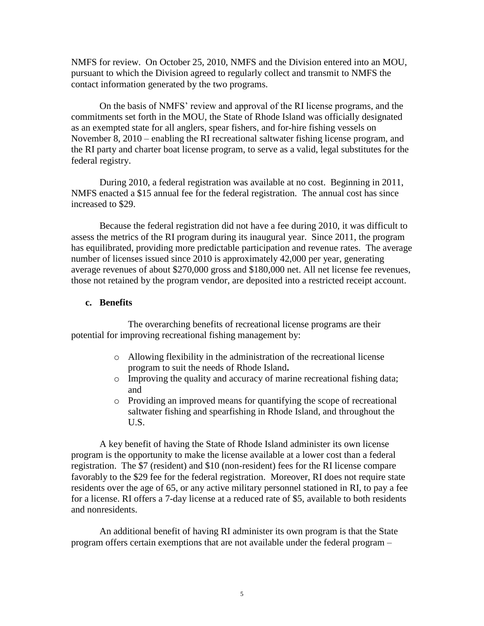NMFS for review. On October 25, 2010, NMFS and the Division entered into an MOU, pursuant to which the Division agreed to regularly collect and transmit to NMFS the contact information generated by the two programs.

On the basis of NMFS' review and approval of the RI license programs, and the commitments set forth in the MOU, the State of Rhode Island was officially designated as an exempted state for all anglers, spear fishers, and for-hire fishing vessels on November 8, 2010 – enabling the RI recreational saltwater fishing license program, and the RI party and charter boat license program, to serve as a valid, legal substitutes for the federal registry.

During 2010, a federal registration was available at no cost. Beginning in 2011, NMFS enacted a \$15 annual fee for the federal registration. The annual cost has since increased to \$29.

Because the federal registration did not have a fee during 2010, it was difficult to assess the metrics of the RI program during its inaugural year. Since 2011, the program has equilibrated, providing more predictable participation and revenue rates. The average number of licenses issued since 2010 is approximately 42,000 per year, generating average revenues of about \$270,000 gross and \$180,000 net. All net license fee revenues, those not retained by the program vendor, are deposited into a restricted receipt account.

## **c. Benefits**

The overarching benefits of recreational license programs are their potential for improving recreational fishing management by:

- o Allowing flexibility in the administration of the recreational license program to suit the needs of Rhode Island**.**
- o Improving the quality and accuracy of marine recreational fishing data; and
- o Providing an improved means for quantifying the scope of recreational saltwater fishing and spearfishing in Rhode Island, and throughout the U.S.

A key benefit of having the State of Rhode Island administer its own license program is the opportunity to make the license available at a lower cost than a federal registration. The \$7 (resident) and \$10 (non-resident) fees for the RI license compare favorably to the \$29 fee for the federal registration. Moreover, RI does not require state residents over the age of 65, or any active military personnel stationed in RI, to pay a fee for a license. RI offers a 7-day license at a reduced rate of \$5, available to both residents and nonresidents.

An additional benefit of having RI administer its own program is that the State program offers certain exemptions that are not available under the federal program –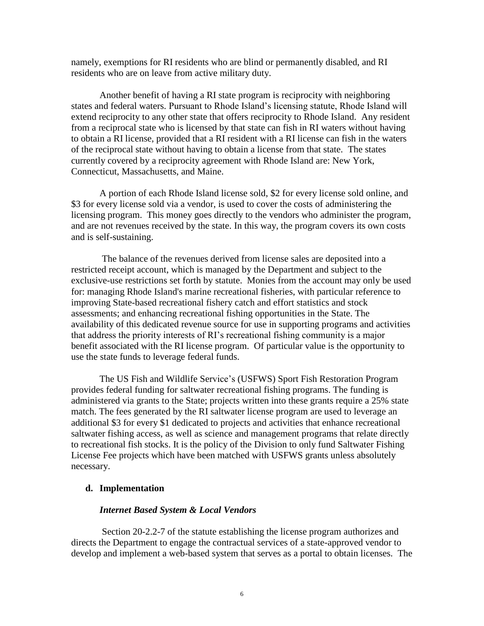namely, exemptions for RI residents who are blind or permanently disabled, and RI residents who are on leave from active military duty.

Another benefit of having a RI state program is reciprocity with neighboring states and federal waters. Pursuant to Rhode Island's licensing statute, Rhode Island will extend reciprocity to any other state that offers reciprocity to Rhode Island. Any resident from a reciprocal state who is licensed by that state can fish in RI waters without having to obtain a RI license, provided that a RI resident with a RI license can fish in the waters of the reciprocal state without having to obtain a license from that state. The states currently covered by a reciprocity agreement with Rhode Island are: New York, Connecticut, Massachusetts, and Maine.

A portion of each Rhode Island license sold, \$2 for every license sold online, and \$3 for every license sold via a vendor, is used to cover the costs of administering the licensing program. This money goes directly to the vendors who administer the program, and are not revenues received by the state. In this way, the program covers its own costs and is self-sustaining.

The balance of the revenues derived from license sales are deposited into a restricted receipt account, which is managed by the Department and subject to the exclusive-use restrictions set forth by statute. Monies from the account may only be used for: managing Rhode Island's marine recreational fisheries, with particular reference to improving State-based recreational fishery catch and effort statistics and stock assessments; and enhancing recreational fishing opportunities in the State. The availability of this dedicated revenue source for use in supporting programs and activities that address the priority interests of RI's recreational fishing community is a major benefit associated with the RI license program. Of particular value is the opportunity to use the state funds to leverage federal funds.

The US Fish and Wildlife Service's (USFWS) Sport Fish Restoration Program provides federal funding for saltwater recreational fishing programs. The funding is administered via grants to the State; projects written into these grants require a 25% state match. The fees generated by the RI saltwater license program are used to leverage an additional \$3 for every \$1 dedicated to projects and activities that enhance recreational saltwater fishing access, as well as science and management programs that relate directly to recreational fish stocks. It is the policy of the Division to only fund Saltwater Fishing License Fee projects which have been matched with USFWS grants unless absolutely necessary.

### **d. Implementation**

### *Internet Based System & Local Vendors*

Section 20-2.2-7 of the statute establishing the license program authorizes and directs the Department to engage the contractual services of a state-approved vendor to develop and implement a web-based system that serves as a portal to obtain licenses. The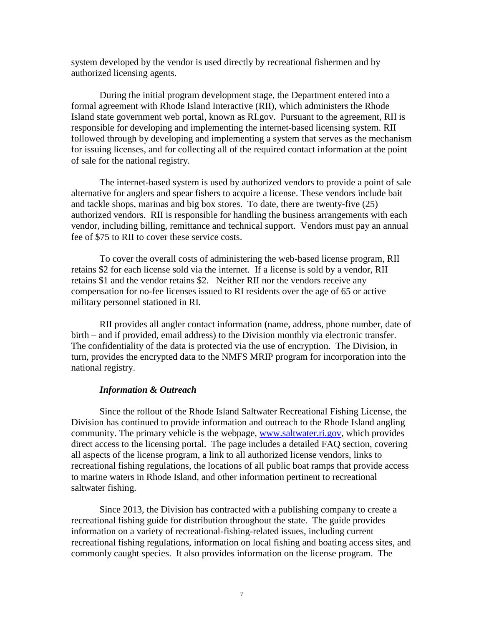system developed by the vendor is used directly by recreational fishermen and by authorized licensing agents.

During the initial program development stage, the Department entered into a formal agreement with Rhode Island Interactive (RII), which administers the Rhode Island state government web portal, known as RI.gov. Pursuant to the agreement, RII is responsible for developing and implementing the internet-based licensing system. RII followed through by developing and implementing a system that serves as the mechanism for issuing licenses, and for collecting all of the required contact information at the point of sale for the national registry.

The internet-based system is used by authorized vendors to provide a point of sale alternative for anglers and spear fishers to acquire a license. These vendors include bait and tackle shops, marinas and big box stores. To date, there are twenty-five (25) authorized vendors. RII is responsible for handling the business arrangements with each vendor, including billing, remittance and technical support. Vendors must pay an annual fee of \$75 to RII to cover these service costs.

To cover the overall costs of administering the web-based license program, RII retains \$2 for each license sold via the internet. If a license is sold by a vendor, RII retains \$1 and the vendor retains \$2. Neither RII nor the vendors receive any compensation for no-fee licenses issued to RI residents over the age of 65 or active military personnel stationed in RI.

RII provides all angler contact information (name, address, phone number, date of birth – and if provided, email address) to the Division monthly via electronic transfer. The confidentiality of the data is protected via the use of encryption. The Division, in turn, provides the encrypted data to the NMFS MRIP program for incorporation into the national registry.

#### *Information & Outreach*

Since the rollout of the Rhode Island Saltwater Recreational Fishing License, the Division has continued to provide information and outreach to the Rhode Island angling community. The primary vehicle is the webpage, [www.saltwater.ri.gov,](http://www.saltwater.ri.gov/) which provides direct access to the licensing portal. The page includes a detailed FAQ section, covering all aspects of the license program, a link to all authorized license vendors, links to recreational fishing regulations, the locations of all public boat ramps that provide access to marine waters in Rhode Island, and other information pertinent to recreational saltwater fishing.

Since 2013, the Division has contracted with a publishing company to create a recreational fishing guide for distribution throughout the state. The guide provides information on a variety of recreational-fishing-related issues, including current recreational fishing regulations, information on local fishing and boating access sites, and commonly caught species. It also provides information on the license program. The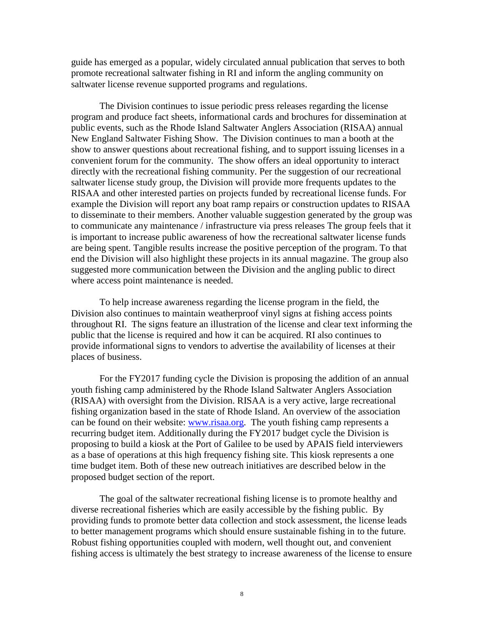guide has emerged as a popular, widely circulated annual publication that serves to both promote recreational saltwater fishing in RI and inform the angling community on saltwater license revenue supported programs and regulations.

The Division continues to issue periodic press releases regarding the license program and produce fact sheets, informational cards and brochures for dissemination at public events, such as the Rhode Island Saltwater Anglers Association (RISAA) annual New England Saltwater Fishing Show. The Division continues to man a booth at the show to answer questions about recreational fishing, and to support issuing licenses in a convenient forum for the community. The show offers an ideal opportunity to interact directly with the recreational fishing community. Per the suggestion of our recreational saltwater license study group, the Division will provide more frequents updates to the RISAA and other interested parties on projects funded by recreational license funds. For example the Division will report any boat ramp repairs or construction updates to RISAA to disseminate to their members. Another valuable suggestion generated by the group was to communicate any maintenance / infrastructure via press releases The group feels that it is important to increase public awareness of how the recreational saltwater license funds are being spent. Tangible results increase the positive perception of the program. To that end the Division will also highlight these projects in its annual magazine. The group also suggested more communication between the Division and the angling public to direct where access point maintenance is needed.

To help increase awareness regarding the license program in the field, the Division also continues to maintain weatherproof vinyl signs at fishing access points throughout RI. The signs feature an illustration of the license and clear text informing the public that the license is required and how it can be acquired. RI also continues to provide informational signs to vendors to advertise the availability of licenses at their places of business.

For the FY2017 funding cycle the Division is proposing the addition of an annual youth fishing camp administered by the Rhode Island Saltwater Anglers Association (RISAA) with oversight from the Division. RISAA is a very active, large recreational fishing organization based in the state of Rhode Island. An overview of the association can be found on their website: [www.risaa.org.](http://www.risaa.org/) The youth fishing camp represents a recurring budget item. Additionally during the FY2017 budget cycle the Division is proposing to build a kiosk at the Port of Galilee to be used by APAIS field interviewers as a base of operations at this high frequency fishing site. This kiosk represents a one time budget item. Both of these new outreach initiatives are described below in the proposed budget section of the report.

The goal of the saltwater recreational fishing license is to promote healthy and diverse recreational fisheries which are easily accessible by the fishing public. By providing funds to promote better data collection and stock assessment, the license leads to better management programs which should ensure sustainable fishing in to the future. Robust fishing opportunities coupled with modern, well thought out, and convenient fishing access is ultimately the best strategy to increase awareness of the license to ensure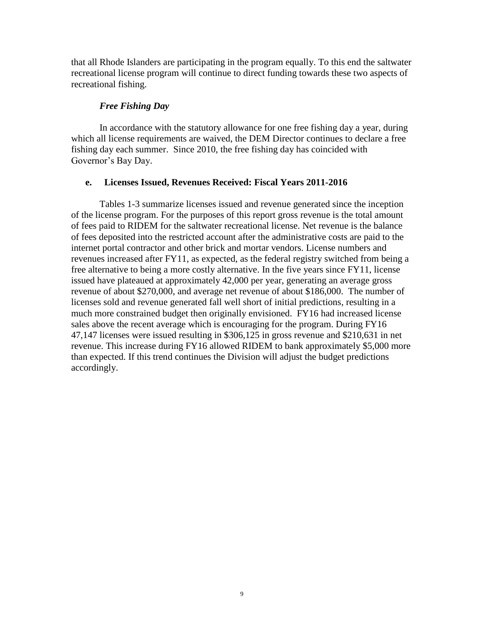that all Rhode Islanders are participating in the program equally. To this end the saltwater recreational license program will continue to direct funding towards these two aspects of recreational fishing.

## *Free Fishing Day*

In accordance with the statutory allowance for one free fishing day a year, during which all license requirements are waived, the DEM Director continues to declare a free fishing day each summer. Since 2010, the free fishing day has coincided with Governor's Bay Day.

# **e. Licenses Issued, Revenues Received: Fiscal Years 2011-2016**

Tables 1-3 summarize licenses issued and revenue generated since the inception of the license program. For the purposes of this report gross revenue is the total amount of fees paid to RIDEM for the saltwater recreational license. Net revenue is the balance of fees deposited into the restricted account after the administrative costs are paid to the internet portal contractor and other brick and mortar vendors. License numbers and revenues increased after FY11, as expected, as the federal registry switched from being a free alternative to being a more costly alternative. In the five years since FY11, license issued have plateaued at approximately 42,000 per year, generating an average gross revenue of about \$270,000, and average net revenue of about \$186,000. The number of licenses sold and revenue generated fall well short of initial predictions, resulting in a much more constrained budget then originally envisioned. FY16 had increased license sales above the recent average which is encouraging for the program. During FY16 47,147 licenses were issued resulting in \$306,125 in gross revenue and \$210,631 in net revenue. This increase during FY16 allowed RIDEM to bank approximately \$5,000 more than expected. If this trend continues the Division will adjust the budget predictions accordingly.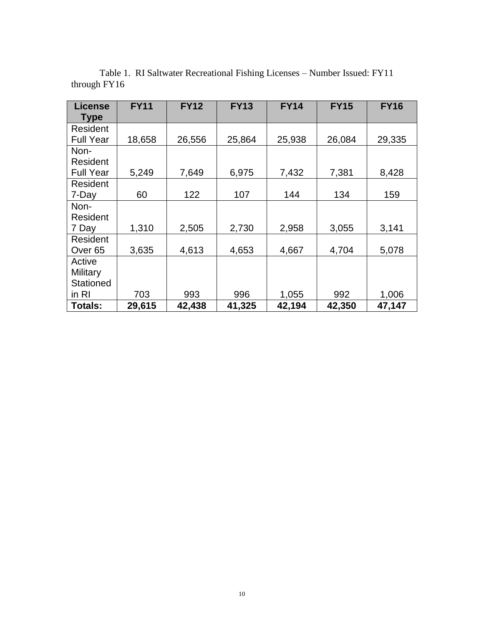| <b>License</b>     | <b>FY11</b> | <b>FY12</b> | <b>FY13</b> | <b>FY14</b> | <b>FY15</b> | <b>FY16</b> |
|--------------------|-------------|-------------|-------------|-------------|-------------|-------------|
| <b>Type</b>        |             |             |             |             |             |             |
| Resident           |             |             |             |             |             |             |
| <b>Full Year</b>   | 18,658      | 26,556      | 25,864      | 25,938      | 26,084      | 29,335      |
| Non-               |             |             |             |             |             |             |
| Resident           |             |             |             |             |             |             |
| <b>Full Year</b>   | 5,249       | 7,649       | 6,975       | 7,432       | 7,381       | 8,428       |
| Resident           |             |             |             |             |             |             |
| 7-Day              | 60          | 122         | 107         | 144         | 134         | 159         |
| Non-               |             |             |             |             |             |             |
| Resident           |             |             |             |             |             |             |
| 7 Day              | 1,310       | 2,505       | 2,730       | 2,958       | 3,055       | 3,141       |
| Resident           |             |             |             |             |             |             |
| Over <sub>65</sub> | 3,635       | 4,613       | 4,653       | 4,667       | 4,704       | 5,078       |
| Active             |             |             |             |             |             |             |
| Military           |             |             |             |             |             |             |
| <b>Stationed</b>   |             |             |             |             |             |             |
| in RI              | 703         | 993         | 996         | 1,055       | 992         | 1,006       |
| Totals:            | 29,615      | 42,438      | 41,325      | 42,194      | 42,350      | 47,147      |

Table 1. RI Saltwater Recreational Fishing Licenses – Number Issued: FY11 through FY16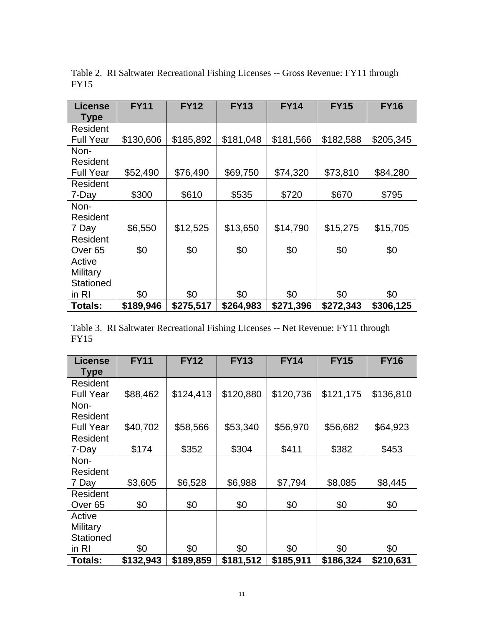| <b>License</b>     | <b>FY11</b> | <b>FY12</b> | <b>FY13</b> | <b>FY14</b> | <b>FY15</b> | <b>FY16</b> |
|--------------------|-------------|-------------|-------------|-------------|-------------|-------------|
| <b>Type</b>        |             |             |             |             |             |             |
| Resident           |             |             |             |             |             |             |
| <b>Full Year</b>   | \$130,606   | \$185,892   | \$181,048   | \$181,566   | \$182,588   | \$205,345   |
| Non-               |             |             |             |             |             |             |
| Resident           |             |             |             |             |             |             |
| <b>Full Year</b>   | \$52,490    | \$76,490    | \$69,750    | \$74,320    | \$73,810    | \$84,280    |
| Resident           |             |             |             |             |             |             |
| 7-Day              | \$300       | \$610       | \$535       | \$720       | \$670       | \$795       |
| Non-               |             |             |             |             |             |             |
| Resident           |             |             |             |             |             |             |
| 7 Day              | \$6,550     | \$12,525    | \$13,650    | \$14,790    | \$15,275    | \$15,705    |
| Resident           |             |             |             |             |             |             |
| Over <sub>65</sub> | \$0         | \$0         | \$0         | \$0         | \$0         | \$0         |
| Active             |             |             |             |             |             |             |
| Military           |             |             |             |             |             |             |
| <b>Stationed</b>   |             |             |             |             |             |             |
| in RI              | \$0         | \$0         | \$0         | \$0         | \$0         | \$0         |
| Totals:            | \$189,946   | \$275,517   | \$264,983   | \$271,396   | \$272,343   | \$306,125   |

Table 2. RI Saltwater Recreational Fishing Licenses -- Gross Revenue: FY11 through FY15

Table 3. RI Saltwater Recreational Fishing Licenses -- Net Revenue: FY11 through FY15

| License            | <b>FY11</b> | <b>FY12</b> | <b>FY13</b> | <b>FY14</b> | <b>FY15</b> | <b>FY16</b> |
|--------------------|-------------|-------------|-------------|-------------|-------------|-------------|
| <b>Type</b>        |             |             |             |             |             |             |
| Resident           |             |             |             |             |             |             |
| <b>Full Year</b>   | \$88,462    | \$124,413   | \$120,880   | \$120,736   | \$121,175   | \$136,810   |
| Non-               |             |             |             |             |             |             |
| Resident           |             |             |             |             |             |             |
| <b>Full Year</b>   | \$40,702    | \$58,566    | \$53,340    | \$56,970    | \$56,682    | \$64,923    |
| Resident           |             |             |             |             |             |             |
| 7-Day              | \$174       | \$352       | \$304       | \$411       | \$382       | \$453       |
| Non-               |             |             |             |             |             |             |
| Resident           |             |             |             |             |             |             |
| 7 Day              | \$3,605     | \$6,528     | \$6,988     | \$7,794     | \$8,085     | \$8,445     |
| Resident           |             |             |             |             |             |             |
| Over <sub>65</sub> | \$0         | \$0         | \$0         | \$0         | \$0         | \$0         |
| Active             |             |             |             |             |             |             |
| Military           |             |             |             |             |             |             |
| <b>Stationed</b>   |             |             |             |             |             |             |
| in RI              | \$0         | \$0         | \$0         | \$0         | \$0         | \$0         |
| <b>Totals:</b>     | \$132,943   | \$189,859   | \$181,512   | \$185,911   | \$186,324   | \$210,631   |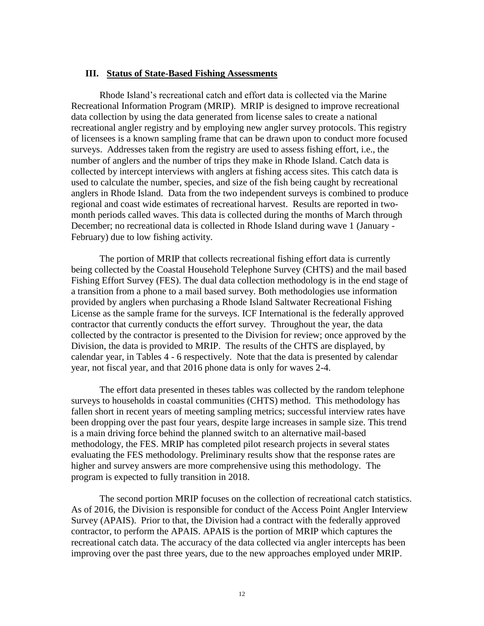#### **III. Status of State-Based Fishing Assessments**

Rhode Island's recreational catch and effort data is collected via the Marine Recreational Information Program (MRIP). MRIP is designed to improve recreational data collection by using the data generated from license sales to create a national recreational angler registry and by employing new angler survey protocols. This registry of licensees is a known sampling frame that can be drawn upon to conduct more focused surveys. Addresses taken from the registry are used to assess fishing effort, i.e., the number of anglers and the number of trips they make in Rhode Island. Catch data is collected by intercept interviews with anglers at fishing access sites. This catch data is used to calculate the number, species, and size of the fish being caught by recreational anglers in Rhode Island. Data from the two independent surveys is combined to produce regional and coast wide estimates of recreational harvest. Results are reported in twomonth periods called waves. This data is collected during the months of March through December; no recreational data is collected in Rhode Island during wave 1 (January - February) due to low fishing activity.

The portion of MRIP that collects recreational fishing effort data is currently being collected by the Coastal Household Telephone Survey (CHTS) and the mail based Fishing Effort Survey (FES). The dual data collection methodology is in the end stage of a transition from a phone to a mail based survey. Both methodologies use information provided by anglers when purchasing a Rhode Island Saltwater Recreational Fishing License as the sample frame for the surveys. ICF International is the federally approved contractor that currently conducts the effort survey. Throughout the year, the data collected by the contractor is presented to the Division for review; once approved by the Division, the data is provided to MRIP. The results of the CHTS are displayed, by calendar year, in Tables 4 - 6 respectively. Note that the data is presented by calendar year, not fiscal year, and that 2016 phone data is only for waves 2-4.

The effort data presented in theses tables was collected by the random telephone surveys to households in coastal communities (CHTS) method. This methodology has fallen short in recent years of meeting sampling metrics; successful interview rates have been dropping over the past four years, despite large increases in sample size. This trend is a main driving force behind the planned switch to an alternative mail-based methodology, the FES. MRIP has completed pilot research projects in several states evaluating the FES methodology. Preliminary results show that the response rates are higher and survey answers are more comprehensive using this methodology. The program is expected to fully transition in 2018.

The second portion MRIP focuses on the collection of recreational catch statistics. As of 2016, the Division is responsible for conduct of the Access Point Angler Interview Survey (APAIS). Prior to that, the Division had a contract with the federally approved contractor, to perform the APAIS. APAIS is the portion of MRIP which captures the recreational catch data. The accuracy of the data collected via angler intercepts has been improving over the past three years, due to the new approaches employed under MRIP.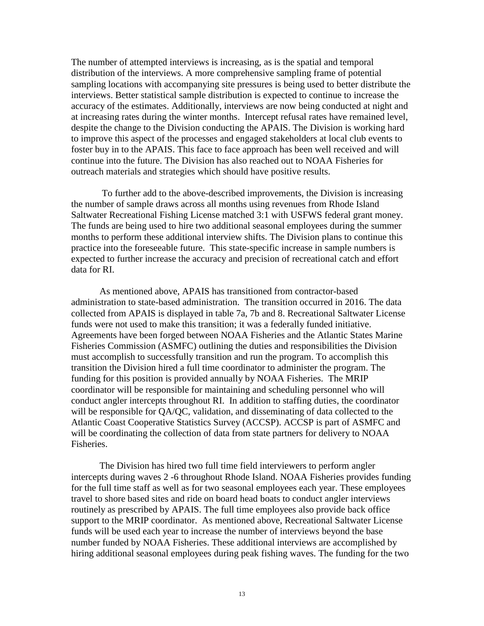The number of attempted interviews is increasing, as is the spatial and temporal distribution of the interviews. A more comprehensive sampling frame of potential sampling locations with accompanying site pressures is being used to better distribute the interviews. Better statistical sample distribution is expected to continue to increase the accuracy of the estimates. Additionally, interviews are now being conducted at night and at increasing rates during the winter months. Intercept refusal rates have remained level, despite the change to the Division conducting the APAIS. The Division is working hard to improve this aspect of the processes and engaged stakeholders at local club events to foster buy in to the APAIS. This face to face approach has been well received and will continue into the future. The Division has also reached out to NOAA Fisheries for outreach materials and strategies which should have positive results.

To further add to the above-described improvements, the Division is increasing the number of sample draws across all months using revenues from Rhode Island Saltwater Recreational Fishing License matched 3:1 with USFWS federal grant money. The funds are being used to hire two additional seasonal employees during the summer months to perform these additional interview shifts. The Division plans to continue this practice into the foreseeable future. This state-specific increase in sample numbers is expected to further increase the accuracy and precision of recreational catch and effort data for RI.

As mentioned above, APAIS has transitioned from contractor-based administration to state-based administration. The transition occurred in 2016. The data collected from APAIS is displayed in table 7a, 7b and 8. Recreational Saltwater License funds were not used to make this transition; it was a federally funded initiative. Agreements have been forged between NOAA Fisheries and the Atlantic States Marine Fisheries Commission (ASMFC) outlining the duties and responsibilities the Division must accomplish to successfully transition and run the program. To accomplish this transition the Division hired a full time coordinator to administer the program. The funding for this position is provided annually by NOAA Fisheries. The MRIP coordinator will be responsible for maintaining and scheduling personnel who will conduct angler intercepts throughout RI. In addition to staffing duties, the coordinator will be responsible for QA/QC, validation, and disseminating of data collected to the Atlantic Coast Cooperative Statistics Survey (ACCSP). ACCSP is part of ASMFC and will be coordinating the collection of data from state partners for delivery to NOAA Fisheries.

The Division has hired two full time field interviewers to perform angler intercepts during waves 2 -6 throughout Rhode Island. NOAA Fisheries provides funding for the full time staff as well as for two seasonal employees each year. These employees travel to shore based sites and ride on board head boats to conduct angler interviews routinely as prescribed by APAIS. The full time employees also provide back office support to the MRIP coordinator. As mentioned above, Recreational Saltwater License funds will be used each year to increase the number of interviews beyond the base number funded by NOAA Fisheries. These additional interviews are accomplished by hiring additional seasonal employees during peak fishing waves. The funding for the two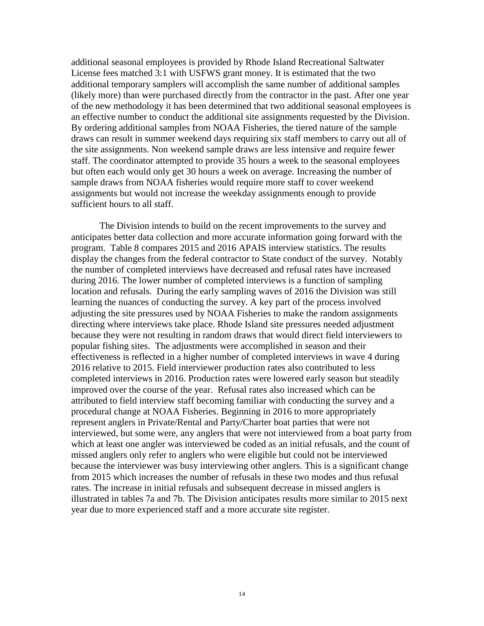additional seasonal employees is provided by Rhode Island Recreational Saltwater License fees matched 3:1 with USFWS grant money. It is estimated that the two additional temporary samplers will accomplish the same number of additional samples (likely more) than were purchased directly from the contractor in the past. After one year of the new methodology it has been determined that two additional seasonal employees is an effective number to conduct the additional site assignments requested by the Division. By ordering additional samples from NOAA Fisheries, the tiered nature of the sample draws can result in summer weekend days requiring six staff members to carry out all of the site assignments. Non weekend sample draws are less intensive and require fewer staff. The coordinator attempted to provide 35 hours a week to the seasonal employees but often each would only get 30 hours a week on average. Increasing the number of sample draws from NOAA fisheries would require more staff to cover weekend assignments but would not increase the weekday assignments enough to provide sufficient hours to all staff.

The Division intends to build on the recent improvements to the survey and anticipates better data collection and more accurate information going forward with the program. Table 8 compares 2015 and 2016 APAIS interview statistics. The results display the changes from the federal contractor to State conduct of the survey. Notably the number of completed interviews have decreased and refusal rates have increased during 2016. The lower number of completed interviews is a function of sampling location and refusals. During the early sampling waves of 2016 the Division was still learning the nuances of conducting the survey. A key part of the process involved adjusting the site pressures used by NOAA Fisheries to make the random assignments directing where interviews take place. Rhode Island site pressures needed adjustment because they were not resulting in random draws that would direct field interviewers to popular fishing sites. The adjustments were accomplished in season and their effectiveness is reflected in a higher number of completed interviews in wave 4 during 2016 relative to 2015. Field interviewer production rates also contributed to less completed interviews in 2016. Production rates were lowered early season but steadily improved over the course of the year. Refusal rates also increased which can be attributed to field interview staff becoming familiar with conducting the survey and a procedural change at NOAA Fisheries. Beginning in 2016 to more appropriately represent anglers in Private/Rental and Party/Charter boat parties that were not interviewed, but some were, any anglers that were not interviewed from a boat party from which at least one angler was interviewed be coded as an initial refusals, and the count of missed anglers only refer to anglers who were eligible but could not be interviewed because the interviewer was busy interviewing other anglers. This is a significant change from 2015 which increases the number of refusals in these two modes and thus refusal rates. The increase in initial refusals and subsequent decrease in missed anglers is illustrated in tables 7a and 7b. The Division anticipates results more similar to 2015 next year due to more experienced staff and a more accurate site register.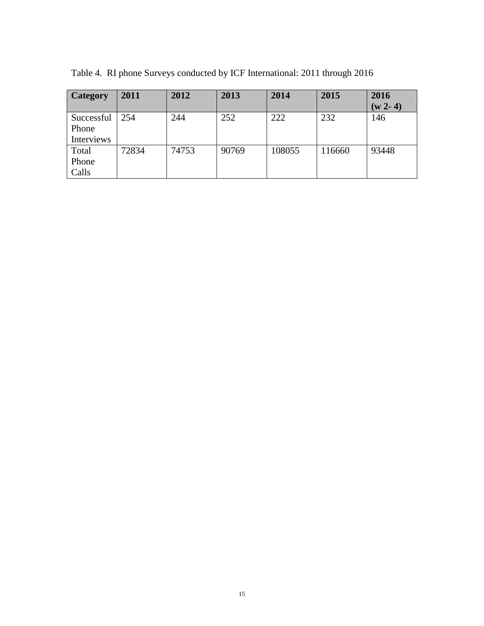| <b>Category</b> | 2011  | 2012  | 2013  | 2014   | 2015   | 2016      |
|-----------------|-------|-------|-------|--------|--------|-----------|
|                 |       |       |       |        |        | $(w 2-4)$ |
| Successful      | 254   | 244   | 252   | 222    | 232    | 146       |
| Phone           |       |       |       |        |        |           |
| Interviews      |       |       |       |        |        |           |
| Total           | 72834 | 74753 | 90769 | 108055 | 116660 | 93448     |
| Phone           |       |       |       |        |        |           |
| Calls           |       |       |       |        |        |           |

Table 4. RI phone Surveys conducted by ICF International: 2011 through 2016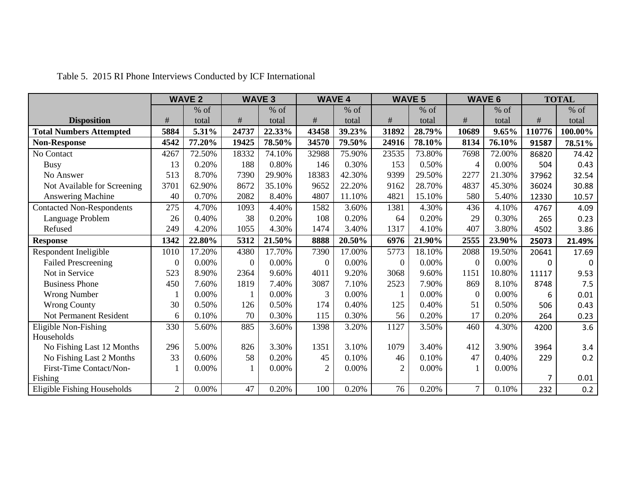|                                  |                  | <b>WAVE 2</b> |          | <b>WAVE 3</b> |                | <b>WAVE 4</b> |                | <b>WAVE 5</b> |                | <b>WAVE 6</b> |        | <b>TOTAL</b> |
|----------------------------------|------------------|---------------|----------|---------------|----------------|---------------|----------------|---------------|----------------|---------------|--------|--------------|
|                                  |                  | $%$ of        |          | $%$ of        |                | $%$ of        |                | $%$ of        |                | $%$ of        |        | $%$ of       |
| <b>Disposition</b>               | $\#$             | total         | #        | total         | #              | total         | $\#$           | total         | $\#$           | total         | $\#$   | total        |
| <b>Total Numbers Attempted</b>   | 5884             | 5.31%         | 24737    | 22.33%        | 43458          | 39.23%        | 31892          | 28.79%        | 10689          | 9.65%         | 110776 | 100.00%      |
| <b>Non-Response</b>              | 4542             | 77.20%        | 19425    | 78.50%        | 34570          | 79.50%        | 24916          | 78.10%        | 8134           | 76.10%        | 91587  | 78.51%       |
| No Contact                       | 4267             | 72.50%        | 18332    | 74.10%        | 32988          | 75.90%        | 23535          | 73.80%        | 7698           | 72.00%        | 86820  | 74.42        |
| <b>Busy</b>                      | 13               | 0.20%         | 188      | 0.80%         | 146            | 0.30%         | 153            | 0.50%         | $\overline{4}$ | 0.00%         | 504    | 0.43         |
| No Answer                        | 513              | 8.70%         | 7390     | 29.90%        | 18383          | 42.30%        | 9399           | 29.50%        | 2277           | 21.30%        | 37962  | 32.54        |
| Not Available for Screening      | 3701             | 62.90%        | 8672     | 35.10%        | 9652           | 22.20%        | 9162           | 28.70%        | 4837           | 45.30%        | 36024  | 30.88        |
| Answering Machine                | 40               | 0.70%         | 2082     | 8.40%         | 4807           | 11.10%        | 4821           | 15.10%        | 580            | 5.40%         | 12330  | 10.57        |
| <b>Contacted Non-Respondents</b> | 275              | 4.70%         | 1093     | 4.40%         | 1582           | 3.60%         | 1381           | 4.30%         | 436            | 4.10%         | 4767   | 4.09         |
| Language Problem                 | 26               | 0.40%         | 38       | 0.20%         | 108            | 0.20%         | 64             | 0.20%         | 29             | 0.30%         | 265    | 0.23         |
| Refused                          | 249              | 4.20%         | 1055     | 4.30%         | 1474           | 3.40%         | 1317           | 4.10%         | 407            | 3.80%         | 4502   | 3.86         |
| <b>Response</b>                  | 1342             | 22.80%        | 5312     | 21.50%        | 8888           | 20.50%        | 6976           | 21.90%        | 2555           | 23.90%        | 25073  | 21.49%       |
| Respondent Ineligible            | 1010             | 17.20%        | 4380     | 17.70%        | 7390           | 17.00%        | 5773           | 18.10%        | 2088           | 19.50%        | 20641  | 17.69        |
| <b>Failed Prescreening</b>       | $\boldsymbol{0}$ | 0.00%         | $\theta$ | 0.00%         | $\theta$       | 0.00%         | $\overline{0}$ | 0.00%         | $\Omega$       | 0.00%         | 0      | 0            |
| Not in Service                   | 523              | 8.90%         | 2364     | 9.60%         | 4011           | 9.20%         | 3068           | 9.60%         | 1151           | 10.80%        | 11117  | 9.53         |
| <b>Business Phone</b>            | 450              | 7.60%         | 1819     | 7.40%         | 3087           | 7.10%         | 2523           | 7.90%         | 869            | 8.10%         | 8748   | 7.5          |
| <b>Wrong Number</b>              | $\mathbf{1}$     | 0.00%         | 1        | 0.00%         | 3              | 0.00%         |                | $0.00\%$      | $\overline{0}$ | 0.00%         | 6      | 0.01         |
| <b>Wrong County</b>              | 30               | 0.50%         | 126      | 0.50%         | 174            | 0.40%         | 125            | 0.40%         | 51             | 0.50%         | 506    | 0.43         |
| <b>Not Permanent Resident</b>    | 6                | 0.10%         | 70       | 0.30%         | 115            | 0.30%         | 56             | 0.20%         | 17             | 0.20%         | 264    | 0.23         |
| Eligible Non-Fishing             | 330              | 5.60%         | 885      | 3.60%         | 1398           | 3.20%         | 1127           | 3.50%         | 460            | 4.30%         | 4200   | 3.6          |
| Households                       |                  |               |          |               |                |               |                |               |                |               |        |              |
| No Fishing Last 12 Months        | 296              | 5.00%         | 826      | 3.30%         | 1351           | 3.10%         | 1079           | 3.40%         | 412            | 3.90%         | 3964   | 3.4          |
| No Fishing Last 2 Months         | 33               | 0.60%         | 58       | 0.20%         | 45             | 0.10%         | 46             | 0.10%         | 47             | 0.40%         | 229    | 0.2          |
| First-Time Contact/Non-          |                  | 0.00%         | 1        | 0.00%         | $\overline{2}$ | $0.00\%$      | $\overline{2}$ | 0.00%         |                | 0.00%         |        |              |
| Fishing                          |                  |               |          |               |                |               |                |               |                |               | 7      | 0.01         |
| Eligible Fishing Households      | $\overline{2}$   | 0.00%         | 47       | 0.20%         | 100            | 0.20%         | 76             | 0.20%         | $\overline{7}$ | 0.10%         | 232    | 0.2          |

Table 5. 2015 RI Phone Interviews Conducted by ICF International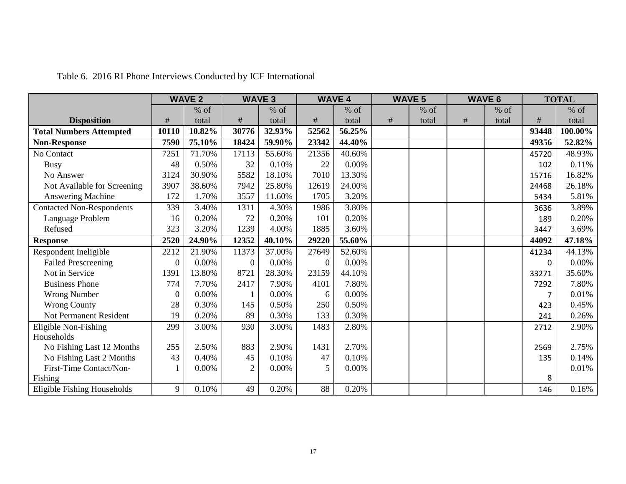|                                  |          | <b>WAVE 2</b> |                | <b>WAVE 3</b> |          | <b>WAVE 4</b> |      | <b>WAVE 5</b> |      | <b>WAVE 6</b> |       | <b>TOTAL</b> |
|----------------------------------|----------|---------------|----------------|---------------|----------|---------------|------|---------------|------|---------------|-------|--------------|
|                                  |          | $%$ of        |                | $%$ of        |          | $%$ of        |      | $%$ of        |      | $%$ of        |       | $%$ of       |
| <b>Disposition</b>               | $\#$     | total         | $\#$           | total         | $\#$     | total         | $\#$ | total         | $\#$ | total         | $\#$  | total        |
| <b>Total Numbers Attempted</b>   | 10110    | 10.82%        | 30776          | 32.93%        | 52562    | 56.25%        |      |               |      |               | 93448 | 100.00%      |
| <b>Non-Response</b>              | 7590     | 75.10%        | 18424          | 59.90%        | 23342    | 44.40%        |      |               |      |               | 49356 | 52.82%       |
| No Contact                       | 7251     | 71.70%        | 17113          | 55.60%        | 21356    | 40.60%        |      |               |      |               | 45720 | 48.93%       |
| <b>Busy</b>                      | 48       | 0.50%         | 32             | 0.10%         | 22       | 0.00%         |      |               |      |               | 102   | 0.11%        |
| No Answer                        | 3124     | 30.90%        | 5582           | 18.10%        | 7010     | 13.30%        |      |               |      |               | 15716 | 16.82%       |
| Not Available for Screening      | 3907     | 38.60%        | 7942           | 25.80%        | 12619    | 24.00%        |      |               |      |               | 24468 | 26.18%       |
| Answering Machine                | 172      | 1.70%         | 3557           | 11.60%        | 1705     | 3.20%         |      |               |      |               | 5434  | 5.81%        |
| <b>Contacted Non-Respondents</b> | 339      | 3.40%         | 1311           | 4.30%         | 1986     | 3.80%         |      |               |      |               | 3636  | 3.89%        |
| Language Problem                 | 16       | 0.20%         | 72             | 0.20%         | 101      | 0.20%         |      |               |      |               | 189   | 0.20%        |
| Refused                          | 323      | 3.20%         | 1239           | 4.00%         | 1885     | 3.60%         |      |               |      |               | 3447  | 3.69%        |
| <b>Response</b>                  | 2520     | 24.90%        | 12352          | 40.10%        | 29220    | 55.60%        |      |               |      |               | 44092 | 47.18%       |
| Respondent Ineligible            | 2212     | 21.90%        | 11373          | 37.00%        | 27649    | 52.60%        |      |               |      |               | 41234 | 44.13%       |
| <b>Failed Prescreening</b>       | $\Omega$ | 0.00%         | $\overline{0}$ | 0.00%         | $\theta$ | 0.00%         |      |               |      |               | 0     | $0.00\%$     |
| Not in Service                   | 1391     | 13.80%        | 8721           | 28.30%        | 23159    | 44.10%        |      |               |      |               | 33271 | 35.60%       |
| <b>Business Phone</b>            | 774      | 7.70%         | 2417           | 7.90%         | 4101     | 7.80%         |      |               |      |               | 7292  | 7.80%        |
| <b>Wrong Number</b>              | $\theta$ | $0.00\%$      |                | 0.00%         | 6        | $0.00\%$      |      |               |      |               | 7     | 0.01%        |
| <b>Wrong County</b>              | 28       | 0.30%         | 145            | 0.50%         | 250      | 0.50%         |      |               |      |               | 423   | 0.45%        |
| Not Permanent Resident           | 19       | 0.20%         | 89             | 0.30%         | 133      | 0.30%         |      |               |      |               | 241   | 0.26%        |
| Eligible Non-Fishing             | 299      | 3.00%         | 930            | 3.00%         | 1483     | 2.80%         |      |               |      |               | 2712  | 2.90%        |
| Households                       |          |               |                |               |          |               |      |               |      |               |       |              |
| No Fishing Last 12 Months        | 255      | 2.50%         | 883            | 2.90%         | 1431     | 2.70%         |      |               |      |               | 2569  | 2.75%        |
| No Fishing Last 2 Months         | 43       | 0.40%         | 45             | 0.10%         | 47       | 0.10%         |      |               |      |               | 135   | 0.14%        |
| First-Time Contact/Non-          |          | 0.00%         | $\overline{2}$ | 0.00%         | 5        | 0.00%         |      |               |      |               |       | 0.01%        |
| Fishing                          |          |               |                |               |          |               |      |               |      |               | 8     |              |
| Eligible Fishing Households      | 9        | 0.10%         | 49             | 0.20%         | 88       | 0.20%         |      |               |      |               | 146   | 0.16%        |

Table 6. 2016 RI Phone Interviews Conducted by ICF International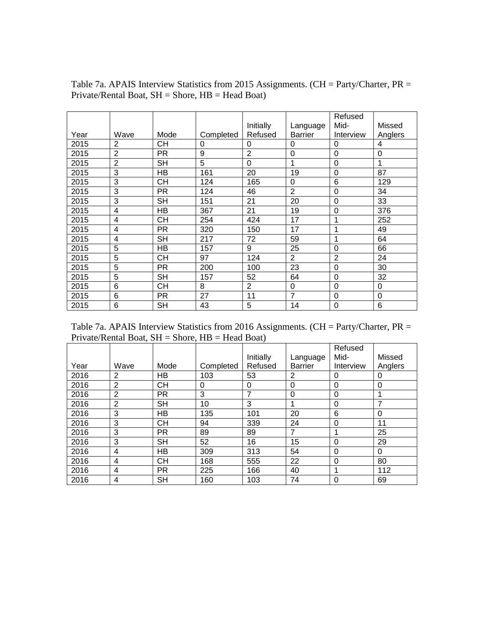|      |                |           |           |                |                | Refused        |          |
|------|----------------|-----------|-----------|----------------|----------------|----------------|----------|
|      |                |           |           | Initially      | Language       | Mid-           | Missed   |
| Year | Wave           | Mode      | Completed | Refused        | <b>Barrier</b> | Interview      | Anglers  |
| 2015 | 2              | CН        | 0         | 0              | 0              | 0              | 4        |
| 2015 | $\overline{2}$ | <b>PR</b> | 9         | $\overline{2}$ | $\mathbf 0$    | $\mathbf 0$    | $\Omega$ |
| 2015 | $\overline{2}$ | <b>SH</b> | 5         | $\overline{0}$ | 1              | $\mathbf 0$    | 1        |
| 2015 | 3              | НB        | 161       | 20             | 19             | 0              | 87       |
| 2015 | 3              | <b>CH</b> | 124       | 165            | $\mathbf 0$    | 6              | 129      |
| 2015 | 3              | <b>PR</b> | 124       | 46             | $\overline{2}$ | 0              | 34       |
| 2015 | 3              | <b>SH</b> | 151       | 21             | 20             | 0              | 33       |
| 2015 | 4              | HB        | 367       | 21             | 19             | $\Omega$       | 376      |
| 2015 | 4              | CН        | 254       | 424            | 17             | 1              | 252      |
| 2015 | 4              | PR.       | 320       | 150            | 17             | 1              | 49       |
| 2015 | $\overline{4}$ | SH        | 217       | 72             | 59             | 1              | 64       |
| 2015 | 5              | HB        | 157       | 9              | 25             | 0              | 66       |
| 2015 | 5              | CН        | 97        | 124            | $\overline{2}$ | $\overline{2}$ | 24       |
| 2015 | 5              | <b>PR</b> | 200       | 100            | 23             | $\overline{0}$ | 30       |
| 2015 | 5              | <b>SH</b> | 157       | 52             | 64             | $\Omega$       | 32       |
| 2015 | 6              | CН        | 8         | $\overline{2}$ | $\mathbf 0$    | 0              | $\Omega$ |
| 2015 | 6              | PR.       | 27        | 11             | $\overline{7}$ | 0              | $\Omega$ |
| 2015 | 6              | SH        | 43        | 5              | 14             | 0              | 6        |

Table 7a. APAIS Interview Statistics from 2015 Assignments. (CH = Party/Charter, PR = Private/Rental Boat, SH = Shore, HB = Head Boat)

Table 7a. APAIS Interview Statistics from 2016 Assignments. (CH = Party/Charter, PR = Private/Rental Boat, SH = Shore, HB = Head Boat)

|      |                |           |           |                |                | Refused   |             |
|------|----------------|-----------|-----------|----------------|----------------|-----------|-------------|
|      |                |           |           | Initially      | Language       | Mid-      | Missed      |
| Year | Wave           | Mode      | Completed | Refused        | <b>Barrier</b> | Interview | Anglers     |
| 2016 | 2              | HB        | 103       | 53             | 2              | 0         | 0           |
| 2016 | 2              | <b>CH</b> | 0         | 0              | 0              | 0         | $\mathbf 0$ |
| 2016 | 2              | <b>PR</b> | 3         | $\overline{7}$ | 0              | 0         | 4           |
| 2016 | $\overline{2}$ | <b>SH</b> | 10        | 3              | 1              | 0         | 7           |
| 2016 | 3              | HB        | 135       | 101            | 20             | 6         | $\Omega$    |
| 2016 | 3              | <b>CH</b> | 94        | 339            | 24             | $\Omega$  | 11          |
| 2016 | 3              | <b>PR</b> | 89        | 89             | $\overline{7}$ |           | 25          |
| 2016 | 3              | <b>SH</b> | 52        | 16             | 15             | $\Omega$  | 29          |
| 2016 | 4              | HB        | 309       | 313            | 54             | 0         | $\Omega$    |
| 2016 | 4              | <b>CH</b> | 168       | 555            | 22             | $\Omega$  | 80          |
| 2016 | 4              | <b>PR</b> | 225       | 166            | 40             |           | 112         |
| 2016 | 4              | <b>SH</b> | 160       | 103            | 74             | $\Omega$  | 69          |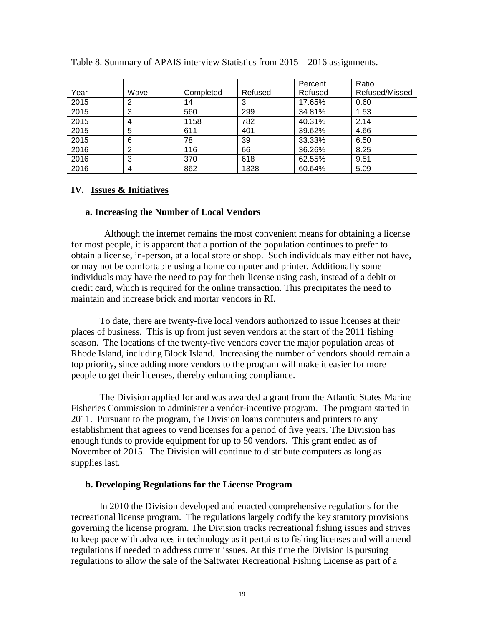|      |      |           |         | Percent | Ratio          |
|------|------|-----------|---------|---------|----------------|
| Year | Wave | Completed | Refused | Refused | Refused/Missed |
| 2015 | 2    | 14        | 3       | 17.65%  | 0.60           |
| 2015 | 3    | 560       | 299     | 34.81%  | 1.53           |
| 2015 | 4    | 1158      | 782     | 40.31%  | 2.14           |
| 2015 | 5    | 611       | 401     | 39.62%  | 4.66           |
| 2015 | 6    | 78        | 39      | 33.33%  | 6.50           |
| 2016 | 2    | 116       | 66      | 36.26%  | 8.25           |
| 2016 | 3    | 370       | 618     | 62.55%  | 9.51           |
| 2016 | 4    | 862       | 1328    | 60.64%  | 5.09           |

Table 8. Summary of APAIS interview Statistics from 2015 – 2016 assignments.

## **IV. Issues & Initiatives**

### **a. Increasing the Number of Local Vendors**

 Although the internet remains the most convenient means for obtaining a license for most people, it is apparent that a portion of the population continues to prefer to obtain a license, in-person, at a local store or shop. Such individuals may either not have, or may not be comfortable using a home computer and printer. Additionally some individuals may have the need to pay for their license using cash, instead of a debit or credit card, which is required for the online transaction. This precipitates the need to maintain and increase brick and mortar vendors in RI.

To date, there are twenty-five local vendors authorized to issue licenses at their places of business. This is up from just seven vendors at the start of the 2011 fishing season. The locations of the twenty-five vendors cover the major population areas of Rhode Island, including Block Island. Increasing the number of vendors should remain a top priority, since adding more vendors to the program will make it easier for more people to get their licenses, thereby enhancing compliance.

The Division applied for and was awarded a grant from the Atlantic States Marine Fisheries Commission to administer a vendor-incentive program. The program started in 2011. Pursuant to the program, the Division loans computers and printers to any establishment that agrees to vend licenses for a period of five years. The Division has enough funds to provide equipment for up to 50 vendors. This grant ended as of November of 2015. The Division will continue to distribute computers as long as supplies last.

### **b. Developing Regulations for the License Program**

In 2010 the Division developed and enacted comprehensive regulations for the recreational license program. The regulations largely codify the key statutory provisions governing the license program. The Division tracks recreational fishing issues and strives to keep pace with advances in technology as it pertains to fishing licenses and will amend regulations if needed to address current issues. At this time the Division is pursuing regulations to allow the sale of the Saltwater Recreational Fishing License as part of a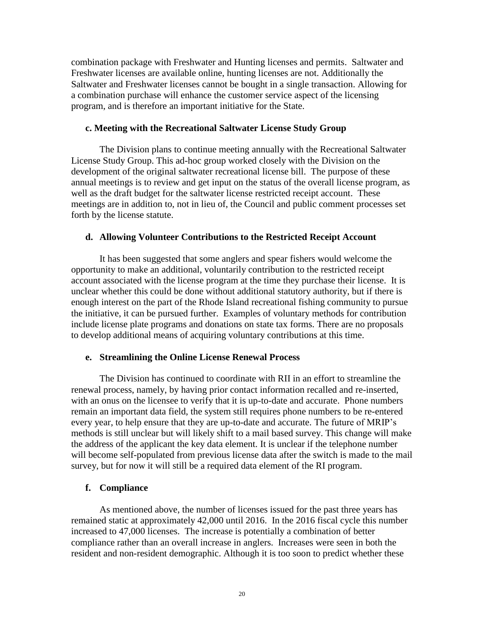combination package with Freshwater and Hunting licenses and permits. Saltwater and Freshwater licenses are available online, hunting licenses are not. Additionally the Saltwater and Freshwater licenses cannot be bought in a single transaction. Allowing for a combination purchase will enhance the customer service aspect of the licensing program, and is therefore an important initiative for the State.

### **c. Meeting with the Recreational Saltwater License Study Group**

The Division plans to continue meeting annually with the Recreational Saltwater License Study Group. This ad-hoc group worked closely with the Division on the development of the original saltwater recreational license bill. The purpose of these annual meetings is to review and get input on the status of the overall license program, as well as the draft budget for the saltwater license restricted receipt account. These meetings are in addition to, not in lieu of, the Council and public comment processes set forth by the license statute.

## **d. Allowing Volunteer Contributions to the Restricted Receipt Account**

It has been suggested that some anglers and spear fishers would welcome the opportunity to make an additional, voluntarily contribution to the restricted receipt account associated with the license program at the time they purchase their license. It is unclear whether this could be done without additional statutory authority, but if there is enough interest on the part of the Rhode Island recreational fishing community to pursue the initiative, it can be pursued further. Examples of voluntary methods for contribution include license plate programs and donations on state tax forms. There are no proposals to develop additional means of acquiring voluntary contributions at this time.

### **e. Streamlining the Online License Renewal Process**

The Division has continued to coordinate with RII in an effort to streamline the renewal process, namely, by having prior contact information recalled and re-inserted, with an onus on the licensee to verify that it is up-to-date and accurate. Phone numbers remain an important data field, the system still requires phone numbers to be re-entered every year, to help ensure that they are up-to-date and accurate. The future of MRIP's methods is still unclear but will likely shift to a mail based survey. This change will make the address of the applicant the key data element. It is unclear if the telephone number will become self-populated from previous license data after the switch is made to the mail survey, but for now it will still be a required data element of the RI program.

# **f. Compliance**

As mentioned above, the number of licenses issued for the past three years has remained static at approximately 42,000 until 2016. In the 2016 fiscal cycle this number increased to 47,000 licenses. The increase is potentially a combination of better compliance rather than an overall increase in anglers. Increases were seen in both the resident and non-resident demographic. Although it is too soon to predict whether these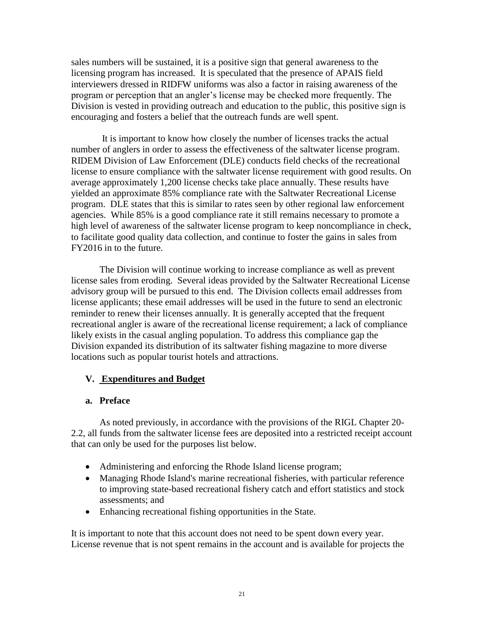sales numbers will be sustained, it is a positive sign that general awareness to the licensing program has increased. It is speculated that the presence of APAIS field interviewers dressed in RIDFW uniforms was also a factor in raising awareness of the program or perception that an angler's license may be checked more frequently. The Division is vested in providing outreach and education to the public, this positive sign is encouraging and fosters a belief that the outreach funds are well spent.

It is important to know how closely the number of licenses tracks the actual number of anglers in order to assess the effectiveness of the saltwater license program. RIDEM Division of Law Enforcement (DLE) conducts field checks of the recreational license to ensure compliance with the saltwater license requirement with good results. On average approximately 1,200 license checks take place annually. These results have yielded an approximate 85% compliance rate with the Saltwater Recreational License program. DLE states that this is similar to rates seen by other regional law enforcement agencies. While 85% is a good compliance rate it still remains necessary to promote a high level of awareness of the saltwater license program to keep noncompliance in check, to facilitate good quality data collection, and continue to foster the gains in sales from FY2016 in to the future.

The Division will continue working to increase compliance as well as prevent license sales from eroding. Several ideas provided by the Saltwater Recreational License advisory group will be pursued to this end. The Division collects email addresses from license applicants; these email addresses will be used in the future to send an electronic reminder to renew their licenses annually. It is generally accepted that the frequent recreational angler is aware of the recreational license requirement; a lack of compliance likely exists in the casual angling population. To address this compliance gap the Division expanded its distribution of its saltwater fishing magazine to more diverse locations such as popular tourist hotels and attractions.

# **V. Expenditures and Budget**

# **a. Preface**

As noted previously, in accordance with the provisions of the RIGL Chapter 20- 2.2, all funds from the saltwater license fees are deposited into a restricted receipt account that can only be used for the purposes list below.

- Administering and enforcing the Rhode Island license program;
- Managing Rhode Island's marine recreational fisheries, with particular reference to improving state-based recreational fishery catch and effort statistics and stock assessments; and
- Enhancing recreational fishing opportunities in the State.

It is important to note that this account does not need to be spent down every year. License revenue that is not spent remains in the account and is available for projects the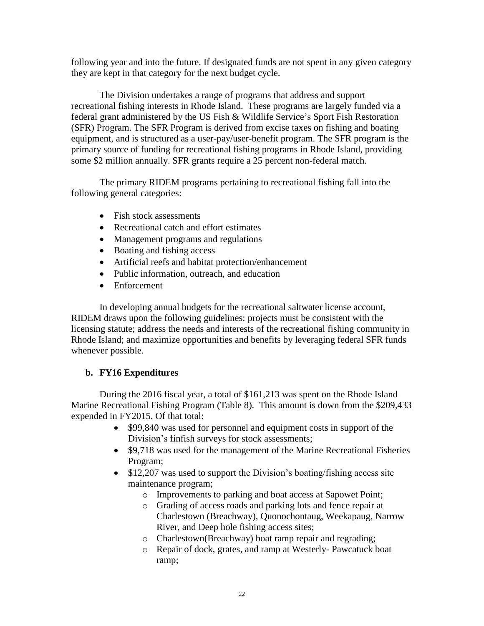following year and into the future. If designated funds are not spent in any given category they are kept in that category for the next budget cycle.

The Division undertakes a range of programs that address and support recreational fishing interests in Rhode Island. These programs are largely funded via a federal grant administered by the US Fish & Wildlife Service's Sport Fish Restoration (SFR) Program. The SFR Program is derived from excise taxes on fishing and boating equipment, and is structured as a user-pay/user-benefit program. The SFR program is the primary source of funding for recreational fishing programs in Rhode Island, providing some \$2 million annually. SFR grants require a 25 percent non-federal match.

The primary RIDEM programs pertaining to recreational fishing fall into the following general categories:

- Fish stock assessments
- Recreational catch and effort estimates
- Management programs and regulations
- Boating and fishing access
- Artificial reefs and habitat protection/enhancement
- Public information, outreach, and education
- Enforcement

In developing annual budgets for the recreational saltwater license account, RIDEM draws upon the following guidelines: projects must be consistent with the licensing statute; address the needs and interests of the recreational fishing community in Rhode Island; and maximize opportunities and benefits by leveraging federal SFR funds whenever possible.

# **b. FY16 Expenditures**

During the 2016 fiscal year, a total of \$161,213 was spent on the Rhode Island Marine Recreational Fishing Program (Table 8). This amount is down from the \$209,433 expended in FY2015. Of that total:

- \$99,840 was used for personnel and equipment costs in support of the Division's finfish surveys for stock assessments;
- \$9,718 was used for the management of the Marine Recreational Fisheries Program;
- \$12,207 was used to support the Division's boating/fishing access site maintenance program;
	- o Improvements to parking and boat access at Sapowet Point;
	- o Grading of access roads and parking lots and fence repair at Charlestown (Breachway), Quonochontaug, Weekapaug, Narrow River, and Deep hole fishing access sites;
	- o Charlestown(Breachway) boat ramp repair and regrading;
	- o Repair of dock, grates, and ramp at Westerly- Pawcatuck boat ramp;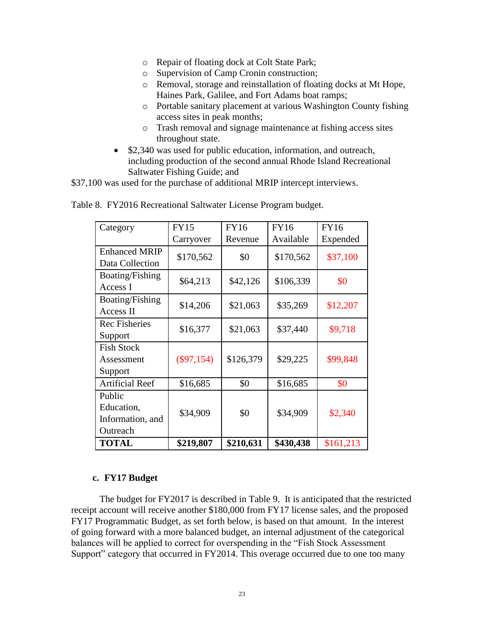- o Repair of floating dock at Colt State Park;
- o Supervision of Camp Cronin construction;
- o Removal, storage and reinstallation of floating docks at Mt Hope, Haines Park, Galilee, and Fort Adams boat ramps;
- o Portable sanitary placement at various Washington County fishing access sites in peak months;
- o Trash removal and signage maintenance at fishing access sites throughout state.
- \$2,340 was used for public education, information, and outreach, including production of the second annual Rhode Island Recreational Saltwater Fishing Guide; and

\$37,100 was used for the purchase of additional MRIP intercept interviews.

| Category                                             | <b>FY15</b>  | <b>FY16</b> | <b>FY16</b> | <b>FY16</b> |
|------------------------------------------------------|--------------|-------------|-------------|-------------|
|                                                      | Carryover    | Revenue     | Available   | Expended    |
| <b>Enhanced MRIP</b><br>Data Collection              | \$170,562    | \$0         | \$170,562   | \$37,100    |
| Boating/Fishing<br>Access I                          | \$64,213     | \$42,126    | \$106,339   | \$0         |
| Boating/Fishing<br>Access II                         | \$14,206     | \$21,063    | \$35,269    | \$12,207    |
| <b>Rec Fisheries</b><br>Support                      | \$16,377     | \$21,063    | \$37,440    | \$9,718     |
| <b>Fish Stock</b><br>Assessment<br>Support           | $(\$97,154)$ | \$126,379   | \$29,225    | \$99,848    |
| <b>Artificial Reef</b>                               | \$16,685     | \$0         | \$16,685    | \$0         |
| Public<br>Education,<br>Information, and<br>Outreach | \$34,909     | \$0         | \$34,909    | \$2,340     |
| <b>TOTAL</b>                                         | \$219,807    | \$210,631   | \$430,438   | \$161,213   |

Table 8. FY2016 Recreational Saltwater License Program budget.

# **c. FY17 Budget**

The budget for FY2017 is described in Table 9. It is anticipated that the restricted receipt account will receive another \$180,000 from FY17 license sales, and the proposed FY17 Programmatic Budget, as set forth below, is based on that amount. In the interest of going forward with a more balanced budget, an internal adjustment of the categorical balances will be applied to correct for overspending in the "Fish Stock Assessment Support" category that occurred in FY2014. This overage occurred due to one too many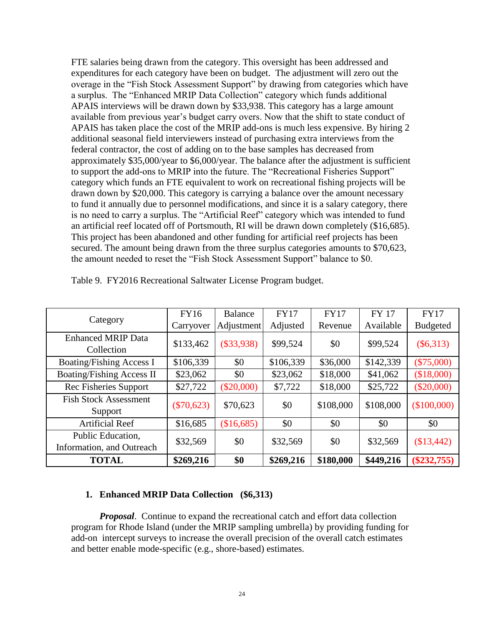FTE salaries being drawn from the category. This oversight has been addressed and expenditures for each category have been on budget. The adjustment will zero out the overage in the "Fish Stock Assessment Support" by drawing from categories which have a surplus. The "Enhanced MRIP Data Collection" category which funds additional APAIS interviews will be drawn down by \$33,938. This category has a large amount available from previous year's budget carry overs. Now that the shift to state conduct of APAIS has taken place the cost of the MRIP add-ons is much less expensive. By hiring 2 additional seasonal field interviewers instead of purchasing extra interviews from the federal contractor, the cost of adding on to the base samples has decreased from approximately \$35,000/year to \$6,000/year. The balance after the adjustment is sufficient to support the add-ons to MRIP into the future. The "Recreational Fisheries Support" category which funds an FTE equivalent to work on recreational fishing projects will be drawn down by \$20,000. This category is carrying a balance over the amount necessary to fund it annually due to personnel modifications, and since it is a salary category, there is no need to carry a surplus. The "Artificial Reef" category which was intended to fund an artificial reef located off of Portsmouth, RI will be drawn down completely (\$16,685). This project has been abandoned and other funding for artificial reef projects has been secured. The amount being drawn from the three surplus categories amounts to \$70,623, the amount needed to reset the "Fish Stock Assessment Support" balance to \$0.

|                                                | <b>FY16</b>  | Balance      | <b>FY17</b> | <b>FY17</b> | <b>FY 17</b> | <b>FY17</b>     |
|------------------------------------------------|--------------|--------------|-------------|-------------|--------------|-----------------|
| Category                                       | Carryover    | Adjustment   | Adjusted    | Revenue     | Available    | <b>Budgeted</b> |
| <b>Enhanced MRIP Data</b><br>Collection        | \$133,462    | $(\$33,938)$ | \$99,524    | \$0         | \$99,524     | $(\$6,313)$     |
| <b>Boating/Fishing Access I</b>                | \$106,339    | \$0          | \$106,339   | \$36,000    | \$142,339    | $(\$75,000)$    |
| <b>Boating/Fishing Access II</b>               | \$23,062     | \$0          | \$23,062    | \$18,000    | \$41,062     | (\$18,000)      |
| Rec Fisheries Support                          | \$27,722     | $(\$20,000)$ | \$7,722     | \$18,000    | \$25,722     | $(\$20,000)$    |
| <b>Fish Stock Assessment</b><br>Support        | $(\$70,623)$ | \$70,623     | \$0         | \$108,000   | \$108,000    | (\$100,000)     |
| <b>Artificial Reef</b>                         | \$16,685     | (\$16,685)   | \$0         | \$0         | \$0          | \$0             |
| Public Education,<br>Information, and Outreach | \$32,569     | \$0          | \$32,569    | \$0         | \$32,569     | \$13,442        |
| <b>TOTAL</b>                                   | \$269,216    | \$0          | \$269,216   | \$180,000   | \$449,216    | $(\$232,755)$   |

Table 9. FY2016 Recreational Saltwater License Program budget.

### **1. Enhanced MRIP Data Collection (\$6,313)**

*Proposal*. Continue to expand the recreational catch and effort data collection program for Rhode Island (under the MRIP sampling umbrella) by providing funding for add-on intercept surveys to increase the overall precision of the overall catch estimates and better enable mode-specific (e.g., shore-based) estimates.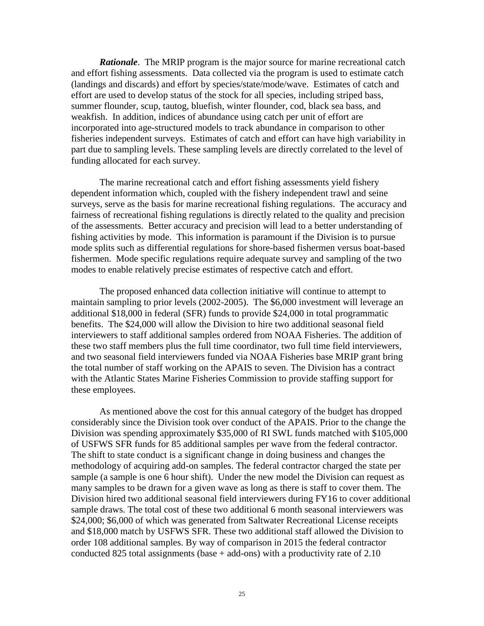*Rationale*. The MRIP program is the major source for marine recreational catch and effort fishing assessments. Data collected via the program is used to estimate catch (landings and discards) and effort by species/state/mode/wave. Estimates of catch and effort are used to develop status of the stock for all species, including striped bass, summer flounder, scup, tautog, bluefish, winter flounder, cod, black sea bass, and weakfish. In addition, indices of abundance using catch per unit of effort are incorporated into age-structured models to track abundance in comparison to other fisheries independent surveys. Estimates of catch and effort can have high variability in part due to sampling levels. These sampling levels are directly correlated to the level of funding allocated for each survey.

The marine recreational catch and effort fishing assessments yield fishery dependent information which, coupled with the fishery independent trawl and seine surveys, serve as the basis for marine recreational fishing regulations. The accuracy and fairness of recreational fishing regulations is directly related to the quality and precision of the assessments. Better accuracy and precision will lead to a better understanding of fishing activities by mode. This information is paramount if the Division is to pursue mode splits such as differential regulations for shore-based fishermen versus boat-based fishermen. Mode specific regulations require adequate survey and sampling of the two modes to enable relatively precise estimates of respective catch and effort.

The proposed enhanced data collection initiative will continue to attempt to maintain sampling to prior levels (2002-2005). The \$6,000 investment will leverage an additional \$18,000 in federal (SFR) funds to provide \$24,000 in total programmatic benefits. The \$24,000 will allow the Division to hire two additional seasonal field interviewers to staff additional samples ordered from NOAA Fisheries. The addition of these two staff members plus the full time coordinator, two full time field interviewers, and two seasonal field interviewers funded via NOAA Fisheries base MRIP grant bring the total number of staff working on the APAIS to seven. The Division has a contract with the Atlantic States Marine Fisheries Commission to provide staffing support for these employees.

As mentioned above the cost for this annual category of the budget has dropped considerably since the Division took over conduct of the APAIS. Prior to the change the Division was spending approximately \$35,000 of RI SWL funds matched with \$105,000 of USFWS SFR funds for 85 additional samples per wave from the federal contractor. The shift to state conduct is a significant change in doing business and changes the methodology of acquiring add-on samples. The federal contractor charged the state per sample (a sample is one 6 hour shift). Under the new model the Division can request as many samples to be drawn for a given wave as long as there is staff to cover them. The Division hired two additional seasonal field interviewers during FY16 to cover additional sample draws. The total cost of these two additional 6 month seasonal interviewers was \$24,000; \$6,000 of which was generated from Saltwater Recreational License receipts and \$18,000 match by USFWS SFR. These two additional staff allowed the Division to order 108 additional samples. By way of comparison in 2015 the federal contractor conducted 825 total assignments (base  $+$  add-ons) with a productivity rate of 2.10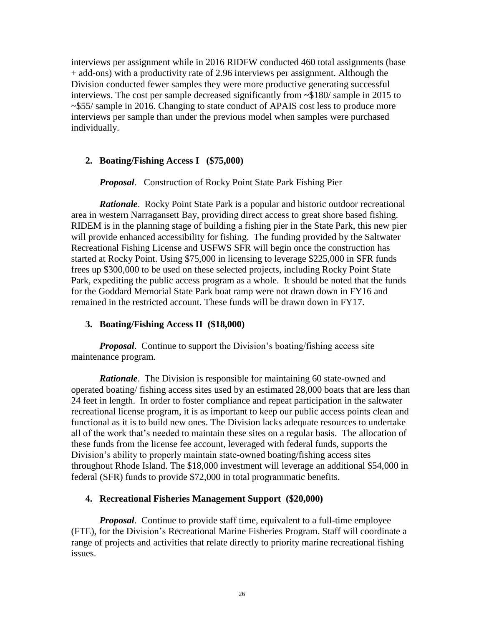interviews per assignment while in 2016 RIDFW conducted 460 total assignments (base + add-ons) with a productivity rate of 2.96 interviews per assignment. Although the Division conducted fewer samples they were more productive generating successful interviews. The cost per sample decreased significantly from ~\$180/ sample in 2015 to ~\$55/ sample in 2016. Changing to state conduct of APAIS cost less to produce more interviews per sample than under the previous model when samples were purchased individually.

# **2. Boating/Fishing Access I (\$75,000)**

*Proposal*. Construction of Rocky Point State Park Fishing Pier

*Rationale*. Rocky Point State Park is a popular and historic outdoor recreational area in western Narragansett Bay, providing direct access to great shore based fishing. RIDEM is in the planning stage of building a fishing pier in the State Park, this new pier will provide enhanced accessibility for fishing. The funding provided by the Saltwater Recreational Fishing License and USFWS SFR will begin once the construction has started at Rocky Point. Using \$75,000 in licensing to leverage \$225,000 in SFR funds frees up \$300,000 to be used on these selected projects, including Rocky Point State Park, expediting the public access program as a whole. It should be noted that the funds for the Goddard Memorial State Park boat ramp were not drawn down in FY16 and remained in the restricted account. These funds will be drawn down in FY17.

# **3. Boating/Fishing Access II (\$18,000)**

*Proposal.* Continue to support the Division's boating/fishing access site maintenance program.

*Rationale.* The Division is responsible for maintaining 60 state-owned and operated boating/ fishing access sites used by an estimated 28,000 boats that are less than 24 feet in length. In order to foster compliance and repeat participation in the saltwater recreational license program, it is as important to keep our public access points clean and functional as it is to build new ones. The Division lacks adequate resources to undertake all of the work that's needed to maintain these sites on a regular basis. The allocation of these funds from the license fee account, leveraged with federal funds, supports the Division's ability to properly maintain state-owned boating/fishing access sites throughout Rhode Island. The \$18,000 investment will leverage an additional \$54,000 in federal (SFR) funds to provide \$72,000 in total programmatic benefits.

# **4. Recreational Fisheries Management Support (\$20,000)**

*Proposal*. Continue to provide staff time, equivalent to a full-time employee (FTE), for the Division's Recreational Marine Fisheries Program. Staff will coordinate a range of projects and activities that relate directly to priority marine recreational fishing issues.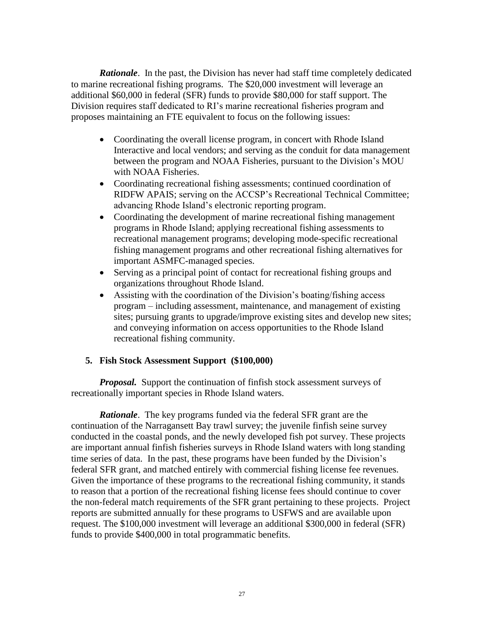*Rationale*. In the past, the Division has never had staff time completely dedicated to marine recreational fishing programs. The \$20,000 investment will leverage an additional \$60,000 in federal (SFR) funds to provide \$80,000 for staff support. The Division requires staff dedicated to RI's marine recreational fisheries program and proposes maintaining an FTE equivalent to focus on the following issues:

- Coordinating the overall license program, in concert with Rhode Island Interactive and local vendors; and serving as the conduit for data management between the program and NOAA Fisheries, pursuant to the Division's MOU with NOAA Fisheries.
- Coordinating recreational fishing assessments; continued coordination of RIDFW APAIS; serving on the ACCSP's Recreational Technical Committee; advancing Rhode Island's electronic reporting program.
- Coordinating the development of marine recreational fishing management programs in Rhode Island; applying recreational fishing assessments to recreational management programs; developing mode-specific recreational fishing management programs and other recreational fishing alternatives for important ASMFC-managed species.
- Serving as a principal point of contact for recreational fishing groups and organizations throughout Rhode Island.
- Assisting with the coordination of the Division's boating/fishing access program – including assessment, maintenance, and management of existing sites; pursuing grants to upgrade/improve existing sites and develop new sites; and conveying information on access opportunities to the Rhode Island recreational fishing community.

# **5. Fish Stock Assessment Support (\$100,000)**

*Proposal.* Support the continuation of finfish stock assessment surveys of recreationally important species in Rhode Island waters.

*Rationale*. The key programs funded via the federal SFR grant are the continuation of the Narragansett Bay trawl survey; the juvenile finfish seine survey conducted in the coastal ponds, and the newly developed fish pot survey. These projects are important annual finfish fisheries surveys in Rhode Island waters with long standing time series of data. In the past, these programs have been funded by the Division's federal SFR grant, and matched entirely with commercial fishing license fee revenues. Given the importance of these programs to the recreational fishing community, it stands to reason that a portion of the recreational fishing license fees should continue to cover the non-federal match requirements of the SFR grant pertaining to these projects. Project reports are submitted annually for these programs to USFWS and are available upon request. The \$100,000 investment will leverage an additional \$300,000 in federal (SFR) funds to provide \$400,000 in total programmatic benefits.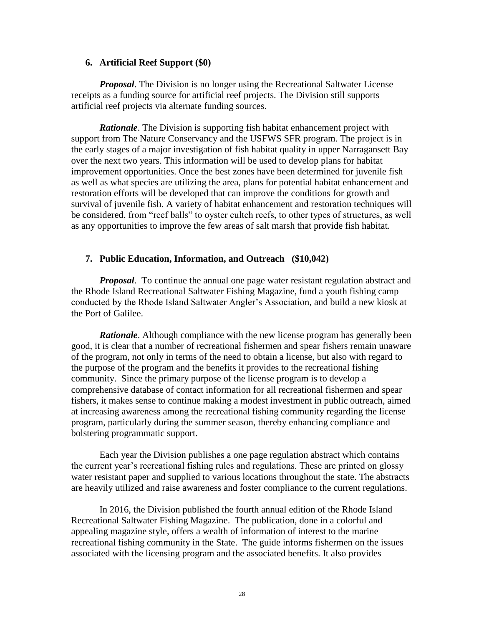## **6. Artificial Reef Support (\$0)**

*Proposal*. The Division is no longer using the Recreational Saltwater License receipts as a funding source for artificial reef projects. The Division still supports artificial reef projects via alternate funding sources.

*Rationale*. The Division is supporting fish habitat enhancement project with support from The Nature Conservancy and the USFWS SFR program. The project is in the early stages of a major investigation of fish habitat quality in upper Narragansett Bay over the next two years. This information will be used to develop plans for habitat improvement opportunities. Once the best zones have been determined for juvenile fish as well as what species are utilizing the area, plans for potential habitat enhancement and restoration efforts will be developed that can improve the conditions for growth and survival of juvenile fish. A variety of habitat enhancement and restoration techniques will be considered, from "reef balls" to oyster cultch reefs, to other types of structures, as well as any opportunities to improve the few areas of salt marsh that provide fish habitat.

# **7. Public Education, Information, and Outreach (\$10,042)**

*Proposal*. To continue the annual one page water resistant regulation abstract and the Rhode Island Recreational Saltwater Fishing Magazine, fund a youth fishing camp conducted by the Rhode Island Saltwater Angler's Association, and build a new kiosk at the Port of Galilee.

*Rationale*. Although compliance with the new license program has generally been good, it is clear that a number of recreational fishermen and spear fishers remain unaware of the program, not only in terms of the need to obtain a license, but also with regard to the purpose of the program and the benefits it provides to the recreational fishing community. Since the primary purpose of the license program is to develop a comprehensive database of contact information for all recreational fishermen and spear fishers, it makes sense to continue making a modest investment in public outreach, aimed at increasing awareness among the recreational fishing community regarding the license program, particularly during the summer season, thereby enhancing compliance and bolstering programmatic support.

Each year the Division publishes a one page regulation abstract which contains the current year's recreational fishing rules and regulations. These are printed on glossy water resistant paper and supplied to various locations throughout the state. The abstracts are heavily utilized and raise awareness and foster compliance to the current regulations.

In 2016, the Division published the fourth annual edition of the Rhode Island Recreational Saltwater Fishing Magazine. The publication, done in a colorful and appealing magazine style, offers a wealth of information of interest to the marine recreational fishing community in the State. The guide informs fishermen on the issues associated with the licensing program and the associated benefits. It also provides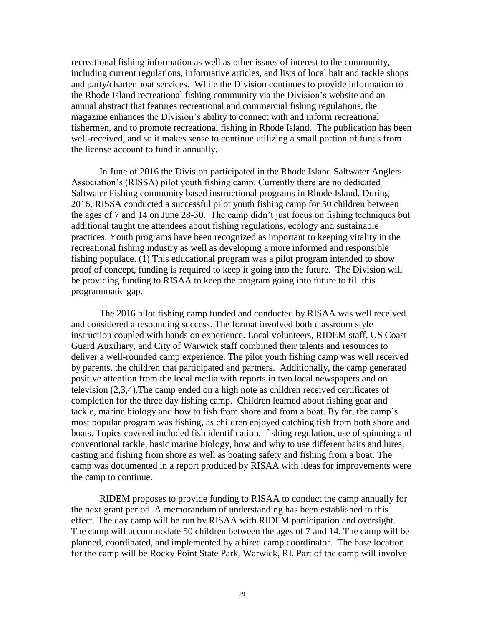recreational fishing information as well as other issues of interest to the community, including current regulations, informative articles, and lists of local bait and tackle shops and party/charter boat services. While the Division continues to provide information to the Rhode Island recreational fishing community via the Division's website and an annual abstract that features recreational and commercial fishing regulations, the magazine enhances the Division's ability to connect with and inform recreational fishermen, and to promote recreational fishing in Rhode Island. The publication has been well-received, and so it makes sense to continue utilizing a small portion of funds from the license account to fund it annually.

In June of 2016 the Division participated in the Rhode Island Saltwater Anglers Association's (RISSA) pilot youth fishing camp. Currently there are no dedicated Saltwater Fishing community based instructional programs in Rhode Island. During 2016, RISSA conducted a successful pilot youth fishing camp for 50 children between the ages of 7 and 14 on June 28-30. The camp didn't just focus on fishing techniques but additional taught the attendees about fishing regulations, ecology and sustainable practices. Youth programs have been recognized as important to keeping vitality in the recreational fishing industry as well as developing a more informed and responsible fishing populace. (1) This educational program was a pilot program intended to show proof of concept, funding is required to keep it going into the future. The Division will be providing funding to RISAA to keep the program going into future to fill this programmatic gap.

The 2016 pilot fishing camp funded and conducted by RISAA was well received and considered a resounding success. The format involved both classroom style instruction coupled with hands on experience. Local volunteers, RIDEM staff, US Coast Guard Auxiliary, and City of Warwick staff combined their talents and resources to deliver a well-rounded camp experience. The pilot youth fishing camp was well received by parents, the children that participated and partners. Additionally, the camp generated positive attention from the local media with reports in two local newspapers and on television (2,3,4).The camp ended on a high note as children received certificates of completion for the three day fishing camp. Children learned about fishing gear and tackle, marine biology and how to fish from shore and from a boat. By far, the camp's most popular program was fishing, as children enjoyed catching fish from both shore and boats. Topics covered included fish identification, fishing regulation, use of spinning and conventional tackle, basic marine biology, how and why to use different baits and lures, casting and fishing from shore as well as boating safety and fishing from a boat. The camp was documented in a report produced by RISAA with ideas for improvements were the camp to continue.

RIDEM proposes to provide funding to RISAA to conduct the camp annually for the next grant period. A memorandum of understanding has been established to this effect. The day camp will be run by RISAA with RIDEM participation and oversight. The camp will accommodate 50 children between the ages of 7 and 14. The camp will be planned, coordinated, and implemented by a hired camp coordinator. The base location for the camp will be Rocky Point State Park, Warwick, RI. Part of the camp will involve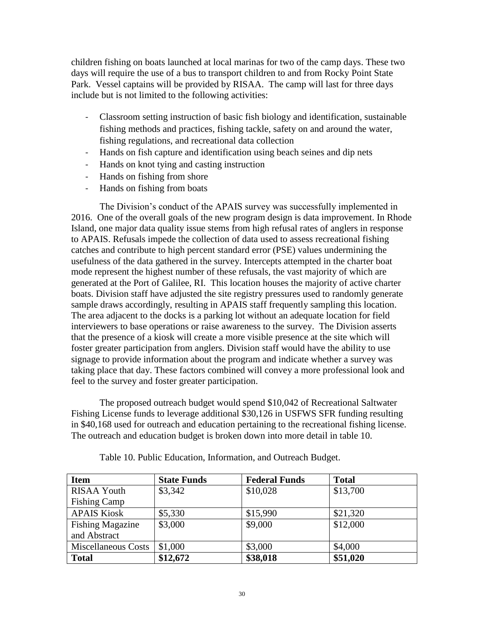children fishing on boats launched at local marinas for two of the camp days. These two days will require the use of a bus to transport children to and from Rocky Point State Park. Vessel captains will be provided by RISAA. The camp will last for three days include but is not limited to the following activities:

- Classroom setting instruction of basic fish biology and identification, sustainable fishing methods and practices, fishing tackle, safety on and around the water, fishing regulations, and recreational data collection
- Hands on fish capture and identification using beach seines and dip nets
- Hands on knot tying and casting instruction
- Hands on fishing from shore
- Hands on fishing from boats

The Division's conduct of the APAIS survey was successfully implemented in 2016. One of the overall goals of the new program design is data improvement. In Rhode Island, one major data quality issue stems from high refusal rates of anglers in response to APAIS. Refusals impede the collection of data used to assess recreational fishing catches and contribute to high percent standard error (PSE) values undermining the usefulness of the data gathered in the survey. Intercepts attempted in the charter boat mode represent the highest number of these refusals, the vast majority of which are generated at the Port of Galilee, RI. This location houses the majority of active charter boats. Division staff have adjusted the site registry pressures used to randomly generate sample draws accordingly, resulting in APAIS staff frequently sampling this location. The area adjacent to the docks is a parking lot without an adequate location for field interviewers to base operations or raise awareness to the survey. The Division asserts that the presence of a kiosk will create a more visible presence at the site which will foster greater participation from anglers. Division staff would have the ability to use signage to provide information about the program and indicate whether a survey was taking place that day. These factors combined will convey a more professional look and feel to the survey and foster greater participation.

The proposed outreach budget would spend \$10,042 of Recreational Saltwater Fishing License funds to leverage additional \$30,126 in USFWS SFR funding resulting in \$40,168 used for outreach and education pertaining to the recreational fishing license. The outreach and education budget is broken down into more detail in table 10.

| <b>Item</b>             | <b>State Funds</b> | <b>Federal Funds</b> | <b>Total</b> |
|-------------------------|--------------------|----------------------|--------------|
| <b>RISAA Youth</b>      | \$3,342            | \$10,028             | \$13,700     |
| <b>Fishing Camp</b>     |                    |                      |              |
| <b>APAIS Kiosk</b>      | \$5,330            | \$15,990             | \$21,320     |
| <b>Fishing Magazine</b> | \$3,000            | \$9,000              | \$12,000     |
| and Abstract            |                    |                      |              |
| Miscellaneous Costs     | \$1,000            | \$3,000              | \$4,000      |
| <b>Total</b>            | \$12,672           | \$38,018             | \$51,020     |

Table 10. Public Education, Information, and Outreach Budget.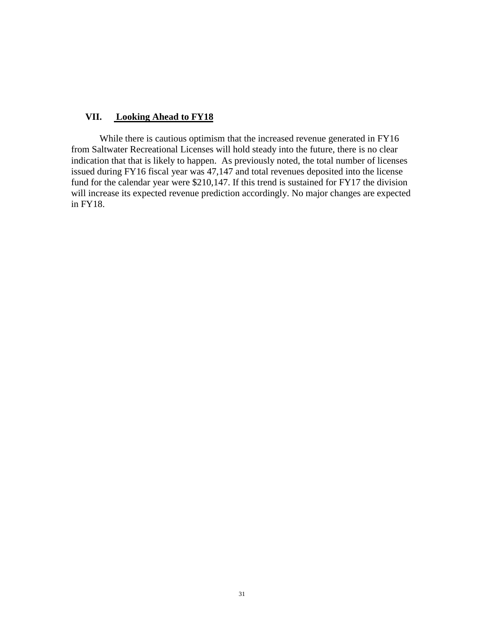# **VII. Looking Ahead to FY18**

While there is cautious optimism that the increased revenue generated in FY16 from Saltwater Recreational Licenses will hold steady into the future, there is no clear indication that that is likely to happen. As previously noted, the total number of licenses issued during FY16 fiscal year was 47,147 and total revenues deposited into the license fund for the calendar year were \$210,147. If this trend is sustained for FY17 the division will increase its expected revenue prediction accordingly. No major changes are expected in FY18.